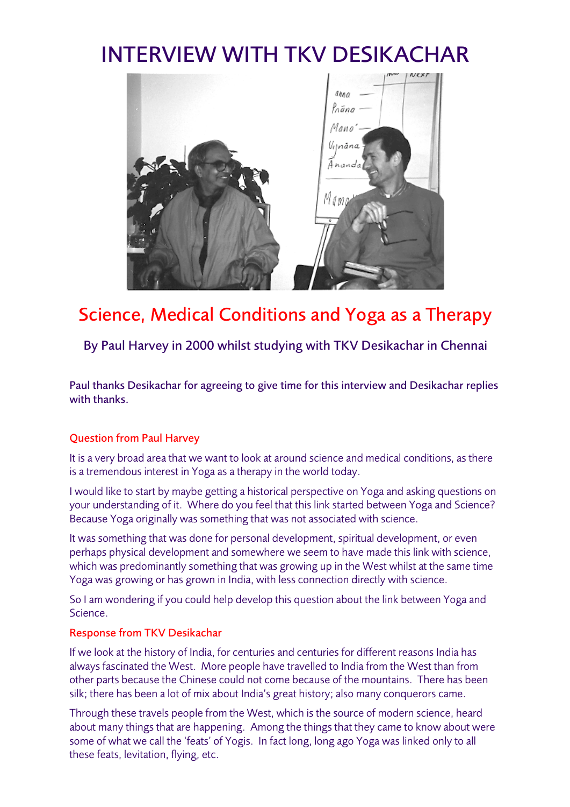# INTERVIEW WITH TKV DESIKACHAR



# Science, Medical Conditions and Yoga as a Therapy

By Paul Harvey in 2000 whilst studying with TKV Desikachar in Chennai

Paul thanks Desikachar for agreeing to give time for this interview and Desikachar replies with thanks.

# Question from Paul Harvey

It is a very broad area that we want to look at around science and medical conditions, as there is a tremendous interest in Yoga as a therapy in the world today.

I would like to start by maybe getting a historical perspective on Yoga and asking questions on your understanding of it. Where do you feel that this link started between Yoga and Science? Because Yoga originally was something that was not associated with science.

It was something that was done for personal development, spiritual development, or even perhaps physical development and somewhere we seem to have made this link with science, which was predominantly something that was growing up in the West whilst at the same time Yoga was growing or has grown in India, with less connection directly with science.

So I am wondering if you could help develop this question about the link between Yoga and Science.

## Response from TKV Desikachar

If we look at the history of India, for centuries and centuries for different reasons India has always fascinated the West. More people have travelled to India from the West than from other parts because the Chinese could not come because of the mountains. There has been silk; there has been a lot of mix about India's great history; also many conquerors came.

Through these travels people from the West, which is the source of modern science, heard about many things that are happening. Among the things that they came to know about were some of what we call the 'feats' of Yogis. In fact long, long ago Yoga was linked only to all these feats, levitation, flying, etc.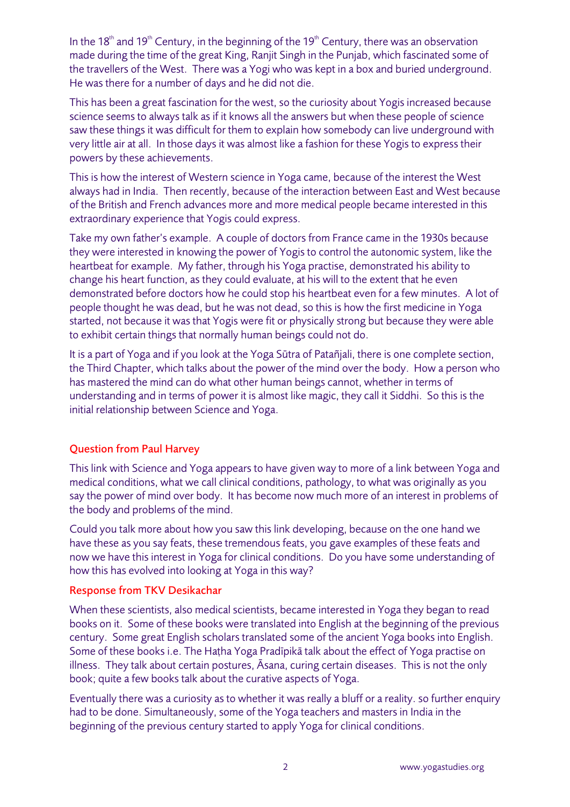In the 18<sup>th</sup> and 19<sup>th</sup> Century, in the beginning of the 19<sup>th</sup> Century, there was an observation made during the time of the great King, Ranjit Singh in the Punjab, which fascinated some of the travellers of the West. There was a Yogi who was kept in a box and buried underground. He was there for a number of days and he did not die.

This has been a great fascination for the west, so the curiosity about Yogis increased because science seems to always talk as if it knows all the answers but when these people of science saw these things it was difficult for them to explain how somebody can live underground with very little air at all. In those days it was almost like a fashion for these Yogis to express their powers by these achievements.

This is how the interest of Western science in Yoga came, because of the interest the West always had in India. Then recently, because of the interaction between East and West because of the British and French advances more and more medical people became interested in this extraordinary experience that Yogis could express.

Take my own father's example. A couple of doctors from France came in the 1930s because they were interested in knowing the power of Yogis to control the autonomic system, like the heartbeat for example. My father, through his Yoga practise, demonstrated his ability to change his heart function, as they could evaluate, at his will to the extent that he even demonstrated before doctors how he could stop his heartbeat even for a few minutes. A lot of people thought he was dead, but he was not dead, so this is how the first medicine in Yoga started, not because it was that Yogis were fit or physically strong but because they were able to exhibit certain things that normally human beings could not do.

It is a part of Yoga and if you look at the Yoga Sūtra of Patañjali, there is one complete section, the Third Chapter, which talks about the power of the mind over the body. How a person who has mastered the mind can do what other human beings cannot, whether in terms of understanding and in terms of power it is almost like magic, they call it Siddhi. So this is the initial relationship between Science and Yoga.

# Question from Paul Harvey

This link with Science and Yoga appears to have given way to more of a link between Yoga and medical conditions, what we call clinical conditions, pathology, to what was originally as you say the power of mind over body. It has become now much more of an interest in problems of the body and problems of the mind.

Could you talk more about how you saw this link developing, because on the one hand we have these as you say feats, these tremendous feats, you gave examples of these feats and now we have this interest in Yoga for clinical conditions. Do you have some understanding of how this has evolved into looking at Yoga in this way?

## Response from TKV Desikachar

When these scientists, also medical scientists, became interested in Yoga they began to read books on it. Some of these books were translated into English at the beginning of the previous century. Some great English scholars translated some of the ancient Yoga books into English. Some of these books i.e. The Haṭha Yoga Pradīpikā talk about the effect of Yoga practise on illness. They talk about certain postures, Āsana, curing certain diseases. This is not the only book; quite a few books talk about the curative aspects of Yoga.

Eventually there was a curiosity as to whether it was really a bluff or a reality. so further enquiry had to be done. Simultaneously, some of the Yoga teachers and masters in India in the beginning of the previous century started to apply Yoga for clinical conditions.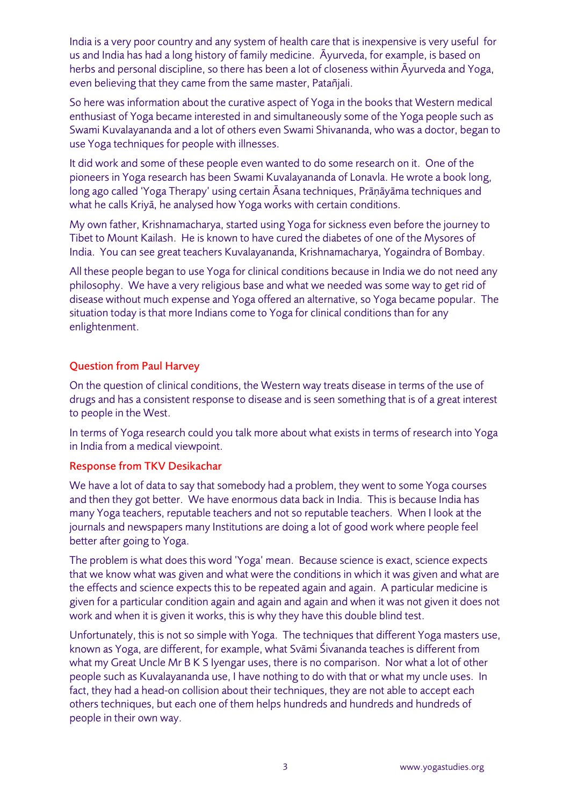India is a very poor country and any system of health care that is inexpensive is very useful for us and India has had a long history of family medicine. Āyurveda, for example, is based on herbs and personal discipline, so there has been a lot of closeness within Āyurveda and Yoga, even believing that they came from the same master, Patañjali.

So here was information about the curative aspect of Yoga in the books that Western medical enthusiast of Yoga became interested in and simultaneously some of the Yoga people such as Swami Kuvalayananda and a lot of others even Swami Shivananda, who was a doctor, began to use Yoga techniques for people with illnesses.

It did work and some of these people even wanted to do some research on it. One of the pioneers in Yoga research has been Swami Kuvalayananda of Lonavla. He wrote a book long, long ago called 'Yoga Therapy' using certain Āsana techniques, Prāṇāyāma techniques and what he calls Kriyā, he analysed how Yoga works with certain conditions.

My own father, Krishnamacharya, started using Yoga for sickness even before the journey to Tibet to Mount Kailash. He is known to have cured the diabetes of one of the Mysores of India. You can see great teachers Kuvalayananda, Krishnamacharya, Yogaindra of Bombay.

All these people began to use Yoga for clinical conditions because in India we do not need any philosophy. We have a very religious base and what we needed was some way to get rid of disease without much expense and Yoga offered an alternative, so Yoga became popular. The situation today is that more Indians come to Yoga for clinical conditions than for any enlightenment.

## Question from Paul Harvey

On the question of clinical conditions, the Western way treats disease in terms of the use of drugs and has a consistent response to disease and is seen something that is of a great interest to people in the West.

In terms of Yoga research could you talk more about what exists in terms of research into Yoga in India from a medical viewpoint.

#### Response from TKV Desikachar

We have a lot of data to say that somebody had a problem, they went to some Yoga courses and then they got better. We have enormous data back in India. This is because India has many Yoga teachers, reputable teachers and not so reputable teachers. When I look at the journals and newspapers many Institutions are doing a lot of good work where people feel better after going to Yoga.

The problem is what does this word 'Yoga' mean. Because science is exact, science expects that we know what was given and what were the conditions in which it was given and what are the effects and science expects this to be repeated again and again. A particular medicine is given for a particular condition again and again and again and when it was not given it does not work and when it is given it works, this is why they have this double blind test.

Unfortunately, this is not so simple with Yoga. The techniques that different Yoga masters use, known as Yoga, are different, for example, what Svāmi Śivananda teaches is different from what my Great Uncle Mr B K S Iyengar uses, there is no comparison. Nor what a lot of other people such as Kuvalayananda use, I have nothing to do with that or what my uncle uses. In fact, they had a head-on collision about their techniques, they are not able to accept each others techniques, but each one of them helps hundreds and hundreds and hundreds of people in their own way.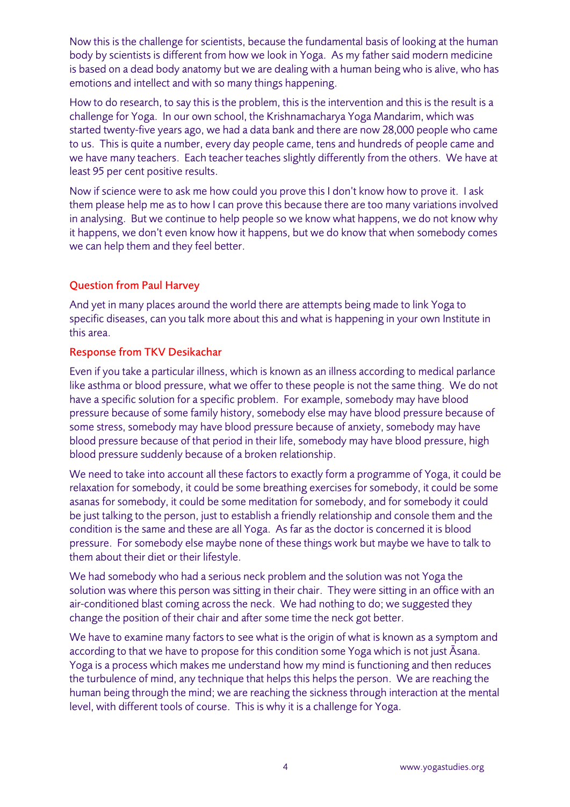Now this is the challenge for scientists, because the fundamental basis of looking at the human body by scientists is different from how we look in Yoga. As my father said modern medicine is based on a dead body anatomy but we are dealing with a human being who is alive, who has emotions and intellect and with so many things happening.

How to do research, to say this is the problem, this is the intervention and this is the result is a challenge for Yoga. In our own school, the Krishnamacharya Yoga Mandarim, which was started twenty-five years ago, we had a data bank and there are now 28,000 people who came to us. This is quite a number, every day people came, tens and hundreds of people came and we have many teachers. Each teacher teaches slightly differently from the others. We have at least 95 per cent positive results.

Now if science were to ask me how could you prove this I don't know how to prove it. I ask them please help me as to how I can prove this because there are too many variations involved in analysing. But we continue to help people so we know what happens, we do not know why it happens, we don't even know how it happens, but we do know that when somebody comes we can help them and they feel better.

## Question from Paul Harvey

And yet in many places around the world there are attempts being made to link Yoga to specific diseases, can you talk more about this and what is happening in your own Institute in this area.

### Response from TKV Desikachar

Even if you take a particular illness, which is known as an illness according to medical parlance like asthma or blood pressure, what we offer to these people is not the same thing. We do not have a specific solution for a specific problem. For example, somebody may have blood pressure because of some family history, somebody else may have blood pressure because of some stress, somebody may have blood pressure because of anxiety, somebody may have blood pressure because of that period in their life, somebody may have blood pressure, high blood pressure suddenly because of a broken relationship.

We need to take into account all these factors to exactly form a programme of Yoga, it could be relaxation for somebody, it could be some breathing exercises for somebody, it could be some asanas for somebody, it could be some meditation for somebody, and for somebody it could be just talking to the person, just to establish a friendly relationship and console them and the condition is the same and these are all Yoga. As far as the doctor is concerned it is blood pressure. For somebody else maybe none of these things work but maybe we have to talk to them about their diet or their lifestyle.

We had somebody who had a serious neck problem and the solution was not Yoga the solution was where this person was sitting in their chair. They were sitting in an office with an air-conditioned blast coming across the neck. We had nothing to do; we suggested they change the position of their chair and after some time the neck got better.

We have to examine many factors to see what is the origin of what is known as a symptom and according to that we have to propose for this condition some Yoga which is not just Āsana. Yoga is a process which makes me understand how my mind is functioning and then reduces the turbulence of mind, any technique that helps this helps the person. We are reaching the human being through the mind; we are reaching the sickness through interaction at the mental level, with different tools of course. This is why it is a challenge for Yoga.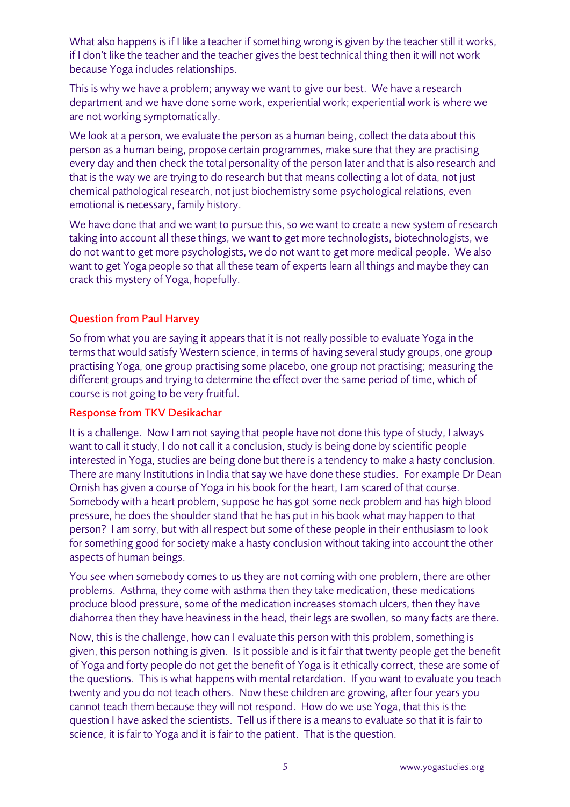What also happens is if I like a teacher if something wrong is given by the teacher still it works, if I don't like the teacher and the teacher gives the best technical thing then it will not work because Yoga includes relationships.

This is why we have a problem; anyway we want to give our best. We have a research department and we have done some work, experiential work; experiential work is where we are not working symptomatically.

We look at a person, we evaluate the person as a human being, collect the data about this person as a human being, propose certain programmes, make sure that they are practising every day and then check the total personality of the person later and that is also research and that is the way we are trying to do research but that means collecting a lot of data, not just chemical pathological research, not just biochemistry some psychological relations, even emotional is necessary, family history.

We have done that and we want to pursue this, so we want to create a new system of research taking into account all these things, we want to get more technologists, biotechnologists, we do not want to get more psychologists, we do not want to get more medical people. We also want to get Yoga people so that all these team of experts learn all things and maybe they can crack this mystery of Yoga, hopefully.

## Question from Paul Harvey

So from what you are saying it appears that it is not really possible to evaluate Yoga in the terms that would satisfy Western science, in terms of having several study groups, one group practising Yoga, one group practising some placebo, one group not practising; measuring the different groups and trying to determine the effect over the same period of time, which of course is not going to be very fruitful.

#### Response from TKV Desikachar

It is a challenge. Now I am not saying that people have not done this type of study, I always want to call it study, I do not call it a conclusion, study is being done by scientific people interested in Yoga, studies are being done but there is a tendency to make a hasty conclusion. There are many Institutions in India that say we have done these studies. For example Dr Dean Ornish has given a course of Yoga in his book for the heart, I am scared of that course. Somebody with a heart problem, suppose he has got some neck problem and has high blood pressure, he does the shoulder stand that he has put in his book what may happen to that person? I am sorry, but with all respect but some of these people in their enthusiasm to look for something good for society make a hasty conclusion without taking into account the other aspects of human beings.

You see when somebody comes to us they are not coming with one problem, there are other problems. Asthma, they come with asthma then they take medication, these medications produce blood pressure, some of the medication increases stomach ulcers, then they have diahorrea then they have heaviness in the head, their legs are swollen, so many facts are there.

Now, this is the challenge, how can I evaluate this person with this problem, something is given, this person nothing is given. Is it possible and is it fair that twenty people get the benefit of Yoga and forty people do not get the benefit of Yoga is it ethically correct, these are some of the questions. This is what happens with mental retardation. If you want to evaluate you teach twenty and you do not teach others. Now these children are growing, after four years you cannot teach them because they will not respond. How do we use Yoga, that this is the question I have asked the scientists. Tell us if there is a means to evaluate so that it is fair to science, it is fair to Yoga and it is fair to the patient. That is the question.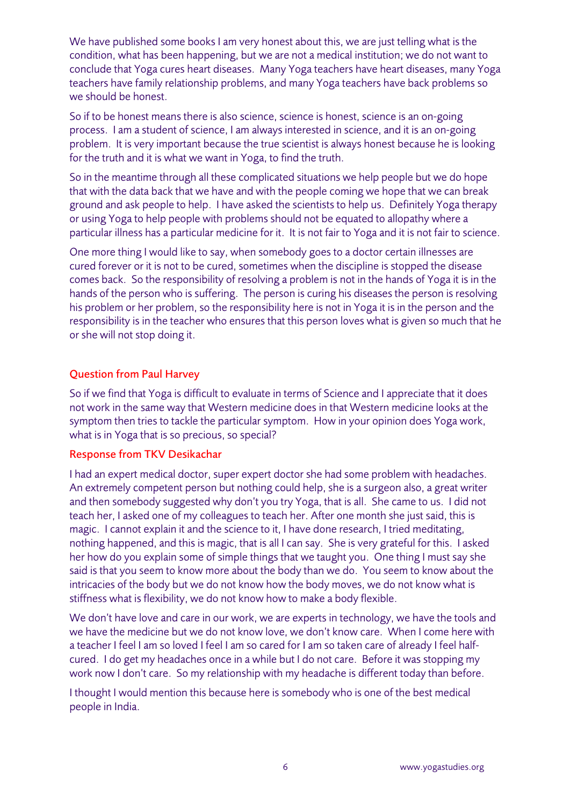We have published some books I am very honest about this, we are just telling what is the condition, what has been happening, but we are not a medical institution; we do not want to conclude that Yoga cures heart diseases. Many Yoga teachers have heart diseases, many Yoga teachers have family relationship problems, and many Yoga teachers have back problems so we should be honest.

So if to be honest means there is also science, science is honest, science is an on-going process. I am a student of science, I am always interested in science, and it is an on-going problem. It is very important because the true scientist is always honest because he is looking for the truth and it is what we want in Yoga, to find the truth.

So in the meantime through all these complicated situations we help people but we do hope that with the data back that we have and with the people coming we hope that we can break ground and ask people to help. I have asked the scientists to help us. Definitely Yoga therapy or using Yoga to help people with problems should not be equated to allopathy where a particular illness has a particular medicine for it. It is not fair to Yoga and it is not fair to science.

One more thing I would like to say, when somebody goes to a doctor certain illnesses are cured forever or it is not to be cured, sometimes when the discipline is stopped the disease comes back. So the responsibility of resolving a problem is not in the hands of Yoga it is in the hands of the person who is suffering. The person is curing his diseases the person is resolving his problem or her problem, so the responsibility here is not in Yoga it is in the person and the responsibility is in the teacher who ensures that this person loves what is given so much that he or she will not stop doing it.

## Question from Paul Harvey

So if we find that Yoga is difficult to evaluate in terms of Science and I appreciate that it does not work in the same way that Western medicine does in that Western medicine looks at the symptom then tries to tackle the particular symptom. How in your opinion does Yoga work, what is in Yoga that is so precious, so special?

## Response from TKV Desikachar

I had an expert medical doctor, super expert doctor she had some problem with headaches. An extremely competent person but nothing could help, she is a surgeon also, a great writer and then somebody suggested why don't you try Yoga, that is all. She came to us. I did not teach her, I asked one of my colleagues to teach her. After one month she just said, this is magic. I cannot explain it and the science to it, I have done research, I tried meditating, nothing happened, and this is magic, that is all I can say. She is very grateful for this. I asked her how do you explain some of simple things that we taught you. One thing I must say she said is that you seem to know more about the body than we do. You seem to know about the intricacies of the body but we do not know how the body moves, we do not know what is stiffness what is flexibility, we do not know how to make a body flexible.

We don't have love and care in our work, we are experts in technology, we have the tools and we have the medicine but we do not know love, we don't know care. When I come here with a teacher I feel I am so loved I feel I am so cared for I am so taken care of already I feel halfcured. I do get my headaches once in a while but I do not care. Before it was stopping my work now I don't care. So my relationship with my headache is different today than before.

I thought I would mention this because here is somebody who is one of the best medical people in India.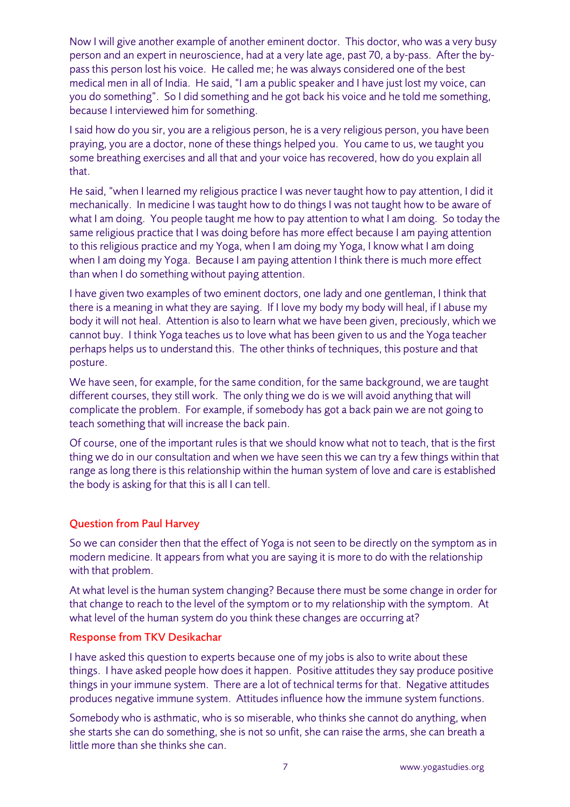Now I will give another example of another eminent doctor. This doctor, who was a very busy person and an expert in neuroscience, had at a very late age, past 70, a by-pass. After the bypass this person lost his voice. He called me; he was always considered one of the best medical men in all of India. He said, "I am a public speaker and I have just lost my voice, can you do something". So I did something and he got back his voice and he told me something, because I interviewed him for something.

I said how do you sir, you are a religious person, he is a very religious person, you have been praying, you are a doctor, none of these things helped you. You came to us, we taught you some breathing exercises and all that and your voice has recovered, how do you explain all that.

He said, "when I learned my religious practice I was never taught how to pay attention, I did it mechanically. In medicine I was taught how to do things I was not taught how to be aware of what I am doing. You people taught me how to pay attention to what I am doing. So today the same religious practice that I was doing before has more effect because I am paying attention to this religious practice and my Yoga, when I am doing my Yoga, I know what I am doing when I am doing my Yoga. Because I am paying attention I think there is much more effect than when I do something without paying attention.

I have given two examples of two eminent doctors, one lady and one gentleman, I think that there is a meaning in what they are saying. If I love my body my body will heal, if I abuse my body it will not heal. Attention is also to learn what we have been given, preciously, which we cannot buy. I think Yoga teaches us to love what has been given to us and the Yoga teacher perhaps helps us to understand this. The other thinks of techniques, this posture and that posture.

We have seen, for example, for the same condition, for the same background, we are taught different courses, they still work. The only thing we do is we will avoid anything that will complicate the problem. For example, if somebody has got a back pain we are not going to teach something that will increase the back pain.

Of course, one of the important rules is that we should know what not to teach, that is the first thing we do in our consultation and when we have seen this we can try a few things within that range as long there is this relationship within the human system of love and care is established the body is asking for that this is all I can tell.

#### Question from Paul Harvey

So we can consider then that the effect of Yoga is not seen to be directly on the symptom as in modern medicine. It appears from what you are saying it is more to do with the relationship with that problem.

At what level is the human system changing? Because there must be some change in order for that change to reach to the level of the symptom or to my relationship with the symptom. At what level of the human system do you think these changes are occurring at?

#### Response from TKV Desikachar

I have asked this question to experts because one of my jobs is also to write about these things. I have asked people how does it happen. Positive attitudes they say produce positive things in your immune system. There are a lot of technical terms for that. Negative attitudes produces negative immune system. Attitudes influence how the immune system functions.

Somebody who is asthmatic, who is so miserable, who thinks she cannot do anything, when she starts she can do something, she is not so unfit, she can raise the arms, she can breath a little more than she thinks she can.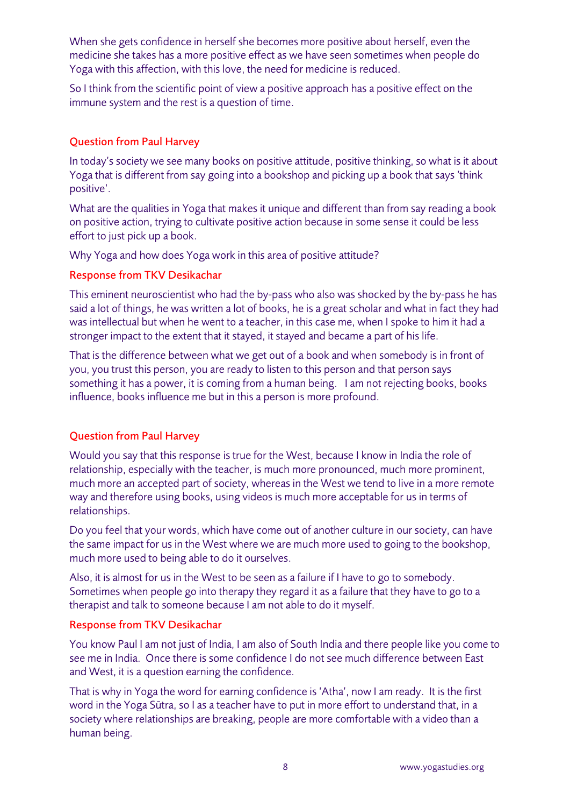When she gets confidence in herself she becomes more positive about herself, even the medicine she takes has a more positive effect as we have seen sometimes when people do Yoga with this affection, with this love, the need for medicine is reduced.

So I think from the scientific point of view a positive approach has a positive effect on the immune system and the rest is a question of time.

## Question from Paul Harvey

In today's society we see many books on positive attitude, positive thinking, so what is it about Yoga that is different from say going into a bookshop and picking up a book that says 'think positive'.

What are the qualities in Yoga that makes it unique and different than from say reading a book on positive action, trying to cultivate positive action because in some sense it could be less effort to just pick up a book.

Why Yoga and how does Yoga work in this area of positive attitude?

## Response from TKV Desikachar

This eminent neuroscientist who had the by-pass who also was shocked by the by-pass he has said a lot of things, he was written a lot of books, he is a great scholar and what in fact they had was intellectual but when he went to a teacher, in this case me, when I spoke to him it had a stronger impact to the extent that it stayed, it stayed and became a part of his life.

That is the difference between what we get out of a book and when somebody is in front of you, you trust this person, you are ready to listen to this person and that person says something it has a power, it is coming from a human being. I am not rejecting books, books influence, books influence me but in this a person is more profound.

# Question from Paul Harvey

Would you say that this response is true for the West, because I know in India the role of relationship, especially with the teacher, is much more pronounced, much more prominent, much more an accepted part of society, whereas in the West we tend to live in a more remote way and therefore using books, using videos is much more acceptable for us in terms of relationships.

Do you feel that your words, which have come out of another culture in our society, can have the same impact for us in the West where we are much more used to going to the bookshop, much more used to being able to do it ourselves.

Also, it is almost for us in the West to be seen as a failure if I have to go to somebody. Sometimes when people go into therapy they regard it as a failure that they have to go to a therapist and talk to someone because I am not able to do it myself.

## Response from TKV Desikachar

You know Paul I am not just of India, I am also of South India and there people like you come to see me in India. Once there is some confidence I do not see much difference between East and West, it is a question earning the confidence.

That is why in Yoga the word for earning confidence is 'Atha', now I am ready. It is the first word in the Yoga Sūtra, so I as a teacher have to put in more effort to understand that, in a society where relationships are breaking, people are more comfortable with a video than a human being.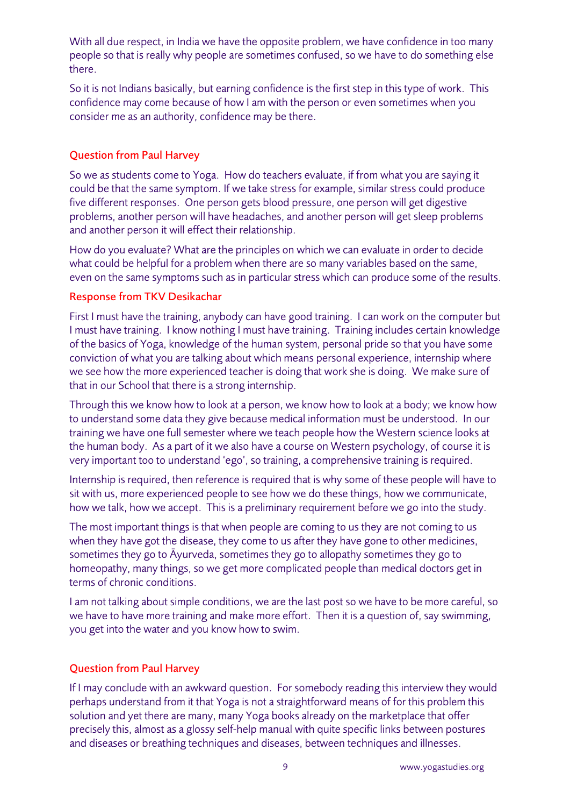With all due respect, in India we have the opposite problem, we have confidence in too many people so that is really why people are sometimes confused, so we have to do something else there.

So it is not Indians basically, but earning confidence is the first step in this type of work. This confidence may come because of how I am with the person or even sometimes when you consider me as an authority, confidence may be there.

## Question from Paul Harvey

So we as students come to Yoga. How do teachers evaluate, if from what you are saying it could be that the same symptom. If we take stress for example, similar stress could produce five different responses. One person gets blood pressure, one person will get digestive problems, another person will have headaches, and another person will get sleep problems and another person it will effect their relationship.

How do you evaluate? What are the principles on which we can evaluate in order to decide what could be helpful for a problem when there are so many variables based on the same, even on the same symptoms such as in particular stress which can produce some of the results.

## Response from TKV Desikachar

First I must have the training, anybody can have good training. I can work on the computer but I must have training. I know nothing I must have training. Training includes certain knowledge of the basics of Yoga, knowledge of the human system, personal pride so that you have some conviction of what you are talking about which means personal experience, internship where we see how the more experienced teacher is doing that work she is doing. We make sure of that in our School that there is a strong internship.

Through this we know how to look at a person, we know how to look at a body; we know how to understand some data they give because medical information must be understood. In our training we have one full semester where we teach people how the Western science looks at the human body. As a part of it we also have a course on Western psychology, of course it is very important too to understand 'ego', so training, a comprehensive training is required.

Internship is required, then reference is required that is why some of these people will have to sit with us, more experienced people to see how we do these things, how we communicate, how we talk, how we accept. This is a preliminary requirement before we go into the study.

The most important things is that when people are coming to us they are not coming to us when they have got the disease, they come to us after they have gone to other medicines, sometimes they go to Āyurveda, sometimes they go to allopathy sometimes they go to homeopathy, many things, so we get more complicated people than medical doctors get in terms of chronic conditions.

I am not talking about simple conditions, we are the last post so we have to be more careful, so we have to have more training and make more effort. Then it is a question of, say swimming, you get into the water and you know how to swim.

## Question from Paul Harvey

If I may conclude with an awkward question. For somebody reading this interview they would perhaps understand from it that Yoga is not a straightforward means of for this problem this solution and yet there are many, many Yoga books already on the marketplace that offer precisely this, almost as a glossy self-help manual with quite specific links between postures and diseases or breathing techniques and diseases, between techniques and illnesses.